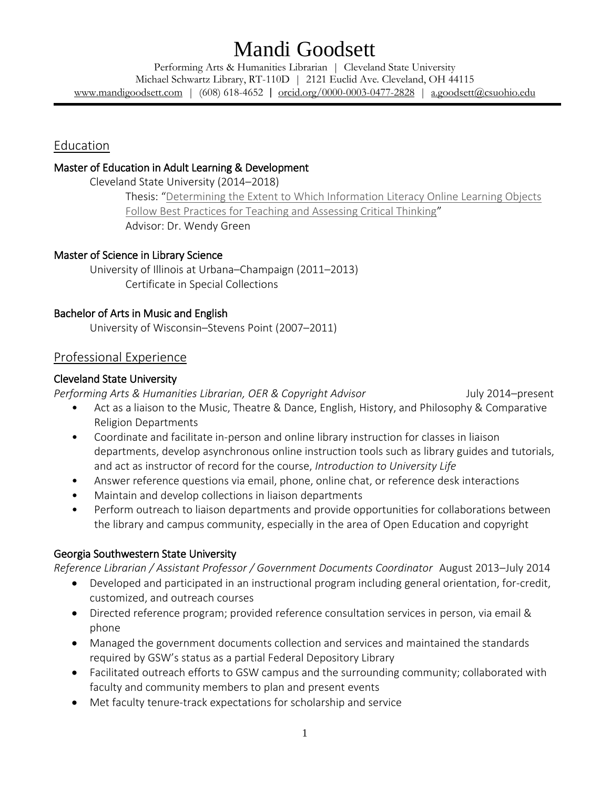Performing Arts & Humanities Librarian | Cleveland State University Michael Schwartz Library, RT-110D | 2121 Euclid Ave. Cleveland, OH 44115 [www.mandigoodsett.com](http://www.mandigoodsett.com/) | (608) 618-4652 | [orcid.org/0000-0003-0477-2828](https://orcid.org/0000-0003-0477-2828) | [a.goodsett@csuohio.edu](mailto:a.goodsett@csuohio.edu)

Education

#### Master of Education in Adult Learning & Development

Cleveland State University (2014–2018)

Thesis: "[Determining the Extent to Which Information Literacy Online Learning Objects](http://rave.ohiolink.edu/etdc/view?acc_num=csu1526048546211971)  [Follow Best Practices for Teaching and Assessing Critical Thinking](http://rave.ohiolink.edu/etdc/view?acc_num=csu1526048546211971)" Advisor: Dr. Wendy Green

#### Master of Science in Library Science

University of Illinois at Urbana–Champaign (2011–2013) Certificate in Special Collections

#### Bachelor of Arts in Music and English

University of Wisconsin–Stevens Point (2007–2011)

## Professional Experience

#### Cleveland State University

Performing Arts & Humanities Librarian, OER & Copyright Advisor July 2014–present

- Act as a liaison to the Music, Theatre & Dance, English, History, and Philosophy & Comparative Religion Departments
- Coordinate and facilitate in-person and online library instruction for classes in liaison departments, develop asynchronous online instruction tools such as library guides and tutorials, and act as instructor of record for the course, *Introduction to University Life*
- Answer reference questions via email, phone, online chat, or reference desk interactions
- Maintain and develop collections in liaison departments
- Perform outreach to liaison departments and provide opportunities for collaborations between the library and campus community, especially in the area of Open Education and copyright

## Georgia Southwestern State University

*Reference Librarian / Assistant Professor / Government Documents Coordinator* August 2013–July 2014

- Developed and participated in an instructional program including general orientation, for-credit, customized, and outreach courses
- Directed reference program; provided reference consultation services in person, via email & phone
- Managed the government documents collection and services and maintained the standards required by GSW's status as a partial Federal Depository Library
- Facilitated outreach efforts to GSW campus and the surrounding community; collaborated with faculty and community members to plan and present events
- Met faculty tenure-track expectations for scholarship and service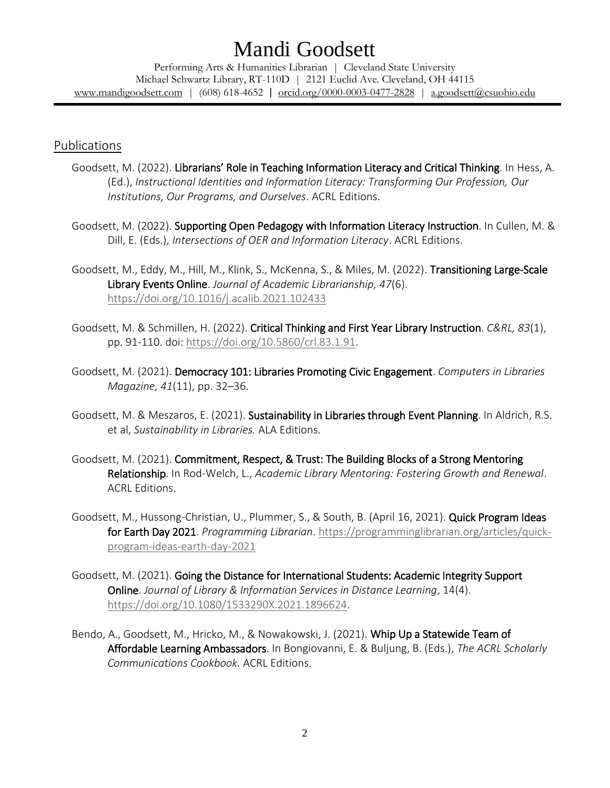Performing Arts & Humanities Librarian | Cleveland State University Michael Schwartz Library, RT-110D | 2121 Euclid Ave. Cleveland, OH 44115 [www.mandigoodsett.com](http://www.mandigoodsett.com/) | (608) 618-4652 | [orcid.org/0000-0003-0477-2828](https://orcid.org/0000-0003-0477-2828) | [a.goodsett@csuohio.edu](mailto:a.goodsett@csuohio.edu)

### Publications

- Goodsett, M. (2022). Librarians' Role in Teaching Information Literacy and Critical Thinking. In Hess, A. (Ed.), *Instructional Identities and Information Literacy: Transforming Our Profession, Our Institutions, Our Programs, and Ourselves*. ACRL Editions.
- Goodsett, M. (2022). Supporting Open Pedagogy with Information Literacy Instruction. In Cullen, M. & Dill, E. (Eds.), *Intersections of OER and Information Literacy*. ACRL Editions.
- Goodsett, M., Eddy, M., Hill, M., Klink, S., McKenna, S., & Miles, M. (2022). Transitioning Large-Scale Library Events Online. *Journal of Academic Librarianship, 47*(6). <https://doi.org/10.1016/j.acalib.2021.102433>
- Goodsett, M. & Schmillen, H. (2022). Critical Thinking and First Year Library Instruction. *C&RL, 83*(1), pp. 91-110. doi: [https://doi.org/10.5860/crl.83.1.91.](https://doi.org/10.5860/crl.83.1.91)
- Goodsett, M. (2021). Democracy 101: Libraries Promoting Civic Engagement. *Computers in Libraries Magazine, 41*(11), pp. 32–36.
- Goodsett, M. & Meszaros, E. (2021). Sustainability in Libraries through Event Planning. In Aldrich, R.S. et al, *Sustainability in Libraries.* ALA Editions.
- Goodsett, M. (2021). Commitment, Respect, & Trust: The Building Blocks of a Strong Mentoring Relationship. In Rod-Welch, L., *Academic Library Mentoring: Fostering Growth and Renewal*. ACRL Editions.
- Goodsett, M., Hussong-Christian, U., Plummer, S., & South, B. (April 16, 2021). Quick Program Ideas for Earth Day 2021. *Programming Librarian*[. https://programminglibrarian.org/articles/quick](https://programminglibrarian.org/articles/quick-program-ideas-earth-day-2021)[program-ideas-earth-day-2021](https://programminglibrarian.org/articles/quick-program-ideas-earth-day-2021)
- Goodsett, M. (2021). Going the Distance for International Students: Academic Integrity Support Online. *Journal of Library & Information Services in Distance Learning*, 14(4). [https://doi.org/10.1080/1533290X.2021.1896624.](https://doi.org/10.1080/1533290X.2021.1896624)
- Bendo, A., Goodsett, M., Hricko, M., & Nowakowski, J. (2021). Whip Up a Statewide Team of Affordable Learning Ambassadors. In Bongiovanni, E. & Buljung, B. (Eds.), *The ACRL Scholarly Communications Cookbook.* ACRL Editions.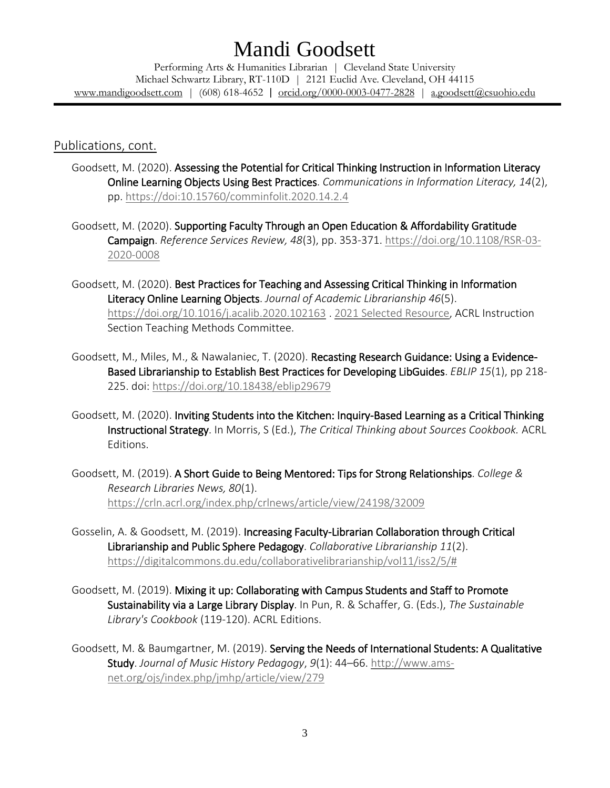Performing Arts & Humanities Librarian | Cleveland State University Michael Schwartz Library, RT-110D | 2121 Euclid Ave. Cleveland, OH 44115 [www.mandigoodsett.com](http://www.mandigoodsett.com/) | (608) 618-4652 | [orcid.org/0000-0003-0477-2828](https://orcid.org/0000-0003-0477-2828) | [a.goodsett@csuohio.edu](mailto:a.goodsett@csuohio.edu)

## Publications, cont.

- Goodsett, M. (2020). Assessing the Potential for Critical Thinking Instruction in Information Literacy Online Learning Objects Using Best Practices. *Communications in Information Literacy, 14*(2), pp.<https://doi:10.15760/comminfolit.2020.14.2.4>
- Goodsett, M. (2020). Supporting Faculty Through an Open Education & Affordability Gratitude Campaign. *Reference Services Review, 48*(3), pp. 353-371. [https://doi.org/10.1108/RSR-03-](https://doi.org/10.1108/RSR-03-2020-0008) [2020-0008](https://doi.org/10.1108/RSR-03-2020-0008)
- Goodsett, M. (2020). Best Practices for Teaching and Assessing Critical Thinking in Information Literacy Online Learning Objects. *Journal of Academic Librarianship 46*(5). <https://doi.org/10.1016/j.acalib.2020.102163> [. 2021 Selected Resource,](https://www.zotero.org/teach_bibliography/items) ACRL Instruction Section Teaching Methods Committee.
- Goodsett, M., Miles, M., & Nawalaniec, T. (2020). Recasting Research Guidance: Using a Evidence-Based Librarianship to Establish Best Practices for Developing LibGuides. *EBLIP 15*(1), pp 218- 225. doi:<https://doi.org/10.18438/eblip29679>
- Goodsett, M. (2020). Inviting Students into the Kitchen: Inquiry-Based Learning as a Critical Thinking Instructional Strategy. In Morris, S (Ed.), *The Critical Thinking about Sources Cookbook.* ACRL Editions.
- Goodsett, M. (2019). A Short Guide to Being Mentored: Tips for Strong Relationships. *College & Research Libraries News, 80*(1). <https://crln.acrl.org/index.php/crlnews/article/view/24198/32009>
- Gosselin, A. & Goodsett, M. (2019). Increasing Faculty-Librarian Collaboration through Critical Librarianship and Public Sphere Pedagogy. *Collaborative Librarianship 11*(2). [https://digitalcommons.du.edu/collaborativelibrarianship/vol11/iss2/5/#](https://digitalcommons.du.edu/collaborativelibrarianship/vol11/iss2/5/)
- Goodsett, M. (2019). Mixing it up: Collaborating with Campus Students and Staff to Promote Sustainability via a Large Library Display. In Pun, R. & Schaffer, G. (Eds.), *The Sustainable Library's Cookbook* (119-120). ACRL Editions.
- Goodsett, M. & Baumgartner, M. (2019). Serving the Needs of International Students: A Qualitative Study. *Journal of Music History Pedagogy*, *9*(1): 44–66. [http://www.ams](http://www.ams-net.org/ojs/index.php/jmhp/article/view/279)[net.org/ojs/index.php/jmhp/article/view/279](http://www.ams-net.org/ojs/index.php/jmhp/article/view/279)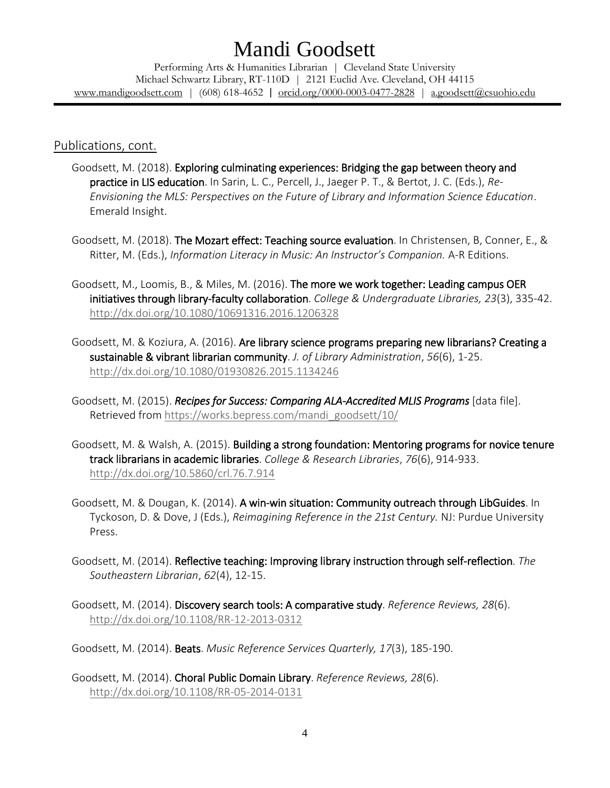Performing Arts & Humanities Librarian | Cleveland State University Michael Schwartz Library, RT-110D | 2121 Euclid Ave. Cleveland, OH 44115 [www.mandigoodsett.com](http://www.mandigoodsett.com/) | (608) 618-4652 | [orcid.org/0000-0003-0477-2828](https://orcid.org/0000-0003-0477-2828) | [a.goodsett@csuohio.edu](mailto:a.goodsett@csuohio.edu)

#### Publications, cont.

- Goodsett, M. (2018). Exploring culminating experiences: Bridging the gap between theory and practice in LIS education. In Sarin, L. C., Percell, J., Jaeger P. T., & Bertot, J. C. (Eds.), *Re-Envisioning the MLS: Perspectives on the Future of Library and Information Science Education*. Emerald Insight.
- Goodsett, M. (2018). The Mozart effect: Teaching source evaluation. In Christensen, B, Conner, E., & Ritter, M. (Eds.), *Information Literacy in Music: An Instructor's Companion.* A-R Editions.
- Goodsett, M., Loomis, B., & Miles, M. (2016). The more we work together: Leading campus OER initiatives through library-faculty collaboration. *College & Undergraduate Libraries, 23*(3), 335-42. <http://dx.doi.org/10.1080/10691316.2016.1206328>
- Goodsett, M. & Koziura, A. (2016). Are library science programs preparing new librarians? Creating a sustainable & vibrant librarian community. *J. of Library Administration*, *56*(6), 1-25. <http://dx.doi.org/10.1080/01930826.2015.1134246>
- Goodsett, M. (2015). *Recipes for Success: Comparing ALA-Accredited MLIS Programs* [data file]. Retrieved from [https://works.bepress.com/mandi\\_goodsett/10/](https://works.bepress.com/mandi_goodsett/10/)
- Goodsett, M. & Walsh, A. (2015). Building a strong foundation: Mentoring programs for novice tenure track librarians in academic libraries. *College & Research Libraries*, *76*(6), 914-933. <http://dx.doi.org/10.5860/crl.76.7.914>
- Goodsett, M. & Dougan, K. (2014). A win-win situation: Community outreach through LibGuides. In Tyckoson, D. & Dove, J (Eds.), *Reimagining Reference in the 21st Century.* NJ: Purdue University Press.
- Goodsett, M. (2014). Reflective teaching: Improving library instruction through self-reflection. *The Southeastern Librarian*, *62*(4), 12-15.
- Goodsett, M. (2014). Discovery search tools: A comparative study. *Reference Reviews, 28*(6). <http://dx.doi.org/10.1108/RR-12-2013-0312>

Goodsett, M. (2014). Beats. *Music Reference Services Quarterly, 17*(3), 185-190.

Goodsett, M. (2014). Choral Public Domain Library. *Reference Reviews, 28*(6). <http://dx.doi.org/10.1108/RR-05-2014-0131>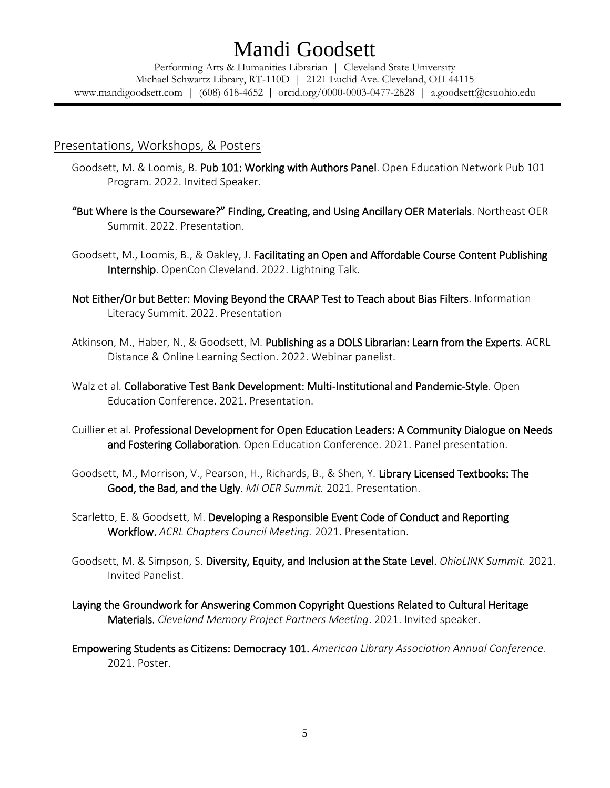Performing Arts & Humanities Librarian | Cleveland State University Michael Schwartz Library, RT-110D | 2121 Euclid Ave. Cleveland, OH 44115 [www.mandigoodsett.com](http://www.mandigoodsett.com/) | (608) 618-4652 | [orcid.org/0000-0003-0477-2828](https://orcid.org/0000-0003-0477-2828) | [a.goodsett@csuohio.edu](mailto:a.goodsett@csuohio.edu)

#### Presentations, Workshops, & Posters

- Goodsett, M. & Loomis, B. Pub 101: Working with Authors Panel. Open Education Network Pub 101 Program. 2022. Invited Speaker.
- "But Where is the Courseware?" Finding, Creating, and Using Ancillary OER Materials. Northeast OER Summit. 2022. Presentation.

Goodsett, M., Loomis, B., & Oakley, J. Facilitating an Open and Affordable Course Content Publishing Internship. OpenCon Cleveland. 2022. Lightning Talk.

- Not Either/Or but Better: Moving Beyond the CRAAP Test to Teach about Bias Filters. Information Literacy Summit. 2022. Presentation
- Atkinson, M., Haber, N., & Goodsett, M. Publishing as a DOLS Librarian: Learn from the Experts. ACRL Distance & Online Learning Section. 2022. Webinar panelist.
- Walz et al. Collaborative Test Bank Development: Multi-Institutional and Pandemic-Style. Open Education Conference. 2021. Presentation.
- Cuillier et al. Professional Development for Open Education Leaders: A Community Dialogue on Needs and Fostering Collaboration. Open Education Conference. 2021. Panel presentation.
- Goodsett, M., Morrison, V., Pearson, H., Richards, B., & Shen, Y. Library Licensed Textbooks: The Good, the Bad, and the Ugly. *MI OER Summit.* 2021. Presentation.
- Scarletto, E. & Goodsett, M. Developing a Responsible Event Code of Conduct and Reporting Workflow. *ACRL Chapters Council Meeting.* 2021. Presentation.
- Goodsett, M. & Simpson, S. Diversity, Equity, and Inclusion at the State Level. *OhioLINK Summit.* 2021. Invited Panelist.
- Laying the Groundwork for Answering Common Copyright Questions Related to Cultural Heritage Materials. *Cleveland Memory Project Partners Meeting*. 2021. Invited speaker.
- Empowering Students as Citizens: Democracy 101. *American Library Association Annual Conference.*  2021. Poster.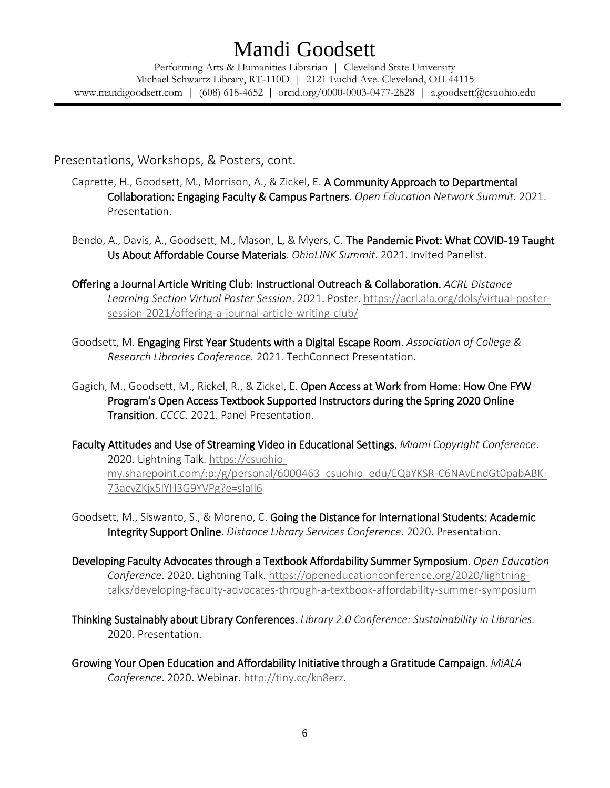Performing Arts & Humanities Librarian | Cleveland State University Michael Schwartz Library, RT-110D | 2121 Euclid Ave. Cleveland, OH 44115 [www.mandigoodsett.com](http://www.mandigoodsett.com/) | (608) 618-4652 | [orcid.org/0000-0003-0477-2828](https://orcid.org/0000-0003-0477-2828) | [a.goodsett@csuohio.edu](mailto:a.goodsett@csuohio.edu)

## Presentations, Workshops, & Posters, cont.

- Caprette, H., Goodsett, M., Morrison, A., & Zickel, E. A Community Approach to Departmental Collaboration: Engaging Faculty & Campus Partners. *Open Education Network Summit.* 2021. Presentation.
- Bendo, A., Davis, A., Goodsett, M., Mason, L, & Myers, C. The Pandemic Pivot: What COVID-19 Taught Us About Affordable Course Materials. *OhioLINK Summit*. 2021. Invited Panelist.
- Offering a Journal Article Writing Club: Instructional Outreach & Collaboration. *ACRL Distance Learning Section Virtual Poster Session*. 2021. Poster. [https://acrl.ala.org/dols/virtual-poster](https://acrl.ala.org/dols/virtual-poster-session-2021/offering-a-journal-article-writing-club/)[session-2021/offering-a-journal-article-writing-club/](https://acrl.ala.org/dols/virtual-poster-session-2021/offering-a-journal-article-writing-club/)
- Goodsett, M. Engaging First Year Students with a Digital Escape Room. *Association of College & Research Libraries Conference.* 2021. TechConnect Presentation.
- Gagich, M., Goodsett, M., Rickel, R., & Zickel, E. Open Access at Work from Home: How One FYW Program's Open Access Textbook Supported Instructors during the Spring 2020 Online Transition. *CCCC.* 2021. Panel Presentation.
- Faculty Attitudes and Use of Streaming Video in Educational Settings. *Miami Copyright Conference*. 2020. Lightning Talk. [https://csuohio](https://csuohio-my.sharepoint.com/:p:/g/personal/6000463_csuohio_edu/EQaYKSR-C6NAvEndGt0pabABK-73acyZKjx5lYH3G9YVPg?e=sIaII6)[my.sharepoint.com/:p:/g/personal/6000463\\_csuohio\\_edu/EQaYKSR-C6NAvEndGt0pabABK-](https://csuohio-my.sharepoint.com/:p:/g/personal/6000463_csuohio_edu/EQaYKSR-C6NAvEndGt0pabABK-73acyZKjx5lYH3G9YVPg?e=sIaII6)[73acyZKjx5lYH3G9YVPg?e=sIaII6](https://csuohio-my.sharepoint.com/:p:/g/personal/6000463_csuohio_edu/EQaYKSR-C6NAvEndGt0pabABK-73acyZKjx5lYH3G9YVPg?e=sIaII6)
- Goodsett, M., Siswanto, S., & Moreno, C. Going the Distance for International Students: Academic Integrity Support Online. *Distance Library Services Conference*. 2020. Presentation.
- Developing Faculty Advocates through a Textbook Affordability Summer Symposium. *Open Education Conference*. 2020. Lightning Talk[. https://openeducationconference.org/2020/lightning](https://openeducationconference.org/2020/lightning-talks/developing-faculty-advocates-through-a-textbook-affordability-summer-symposium)[talks/developing-faculty-advocates-through-a-textbook-affordability-summer-symposium](https://openeducationconference.org/2020/lightning-talks/developing-faculty-advocates-through-a-textbook-affordability-summer-symposium)
- Thinking Sustainably about Library Conferences. *Library 2.0 Conference: Sustainability in Libraries.*  2020. Presentation.
- Growing Your Open Education and Affordability Initiative through a Gratitude Campaign. *MiALA Conference*. 2020. Webinar. [http://tiny.cc/kn8erz.](http://tiny.cc/kn8erz)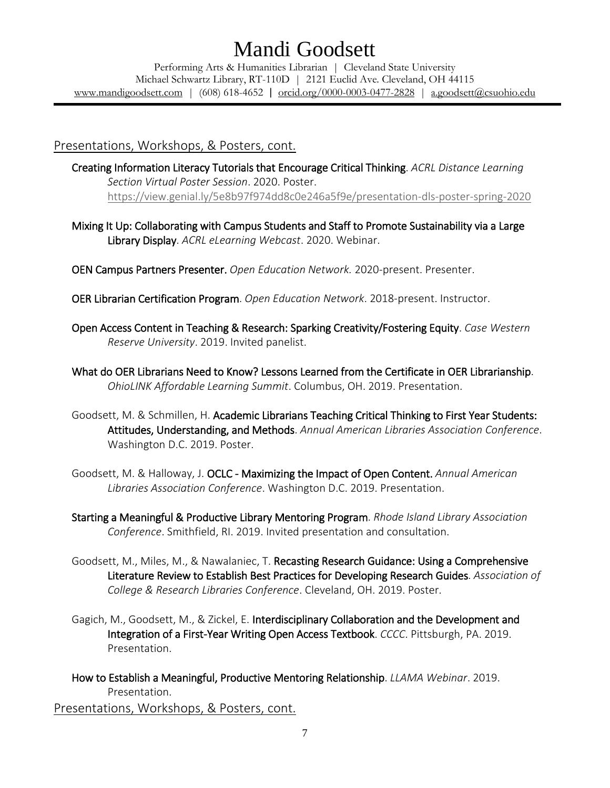Performing Arts & Humanities Librarian | Cleveland State University Michael Schwartz Library, RT-110D | 2121 Euclid Ave. Cleveland, OH 44115 [www.mandigoodsett.com](http://www.mandigoodsett.com/) | (608) 618-4652 | [orcid.org/0000-0003-0477-2828](https://orcid.org/0000-0003-0477-2828) | [a.goodsett@csuohio.edu](mailto:a.goodsett@csuohio.edu)

### Presentations, Workshops, & Posters, cont.

Creating Information Literacy Tutorials that Encourage Critical Thinking. *ACRL Distance Learning Section Virtual Poster Session*. 2020. Poster. <https://view.genial.ly/5e8b97f974dd8c0e246a5f9e/presentation-dls-poster-spring-2020>

Mixing It Up: Collaborating with Campus Students and Staff to Promote Sustainability via a Large Library Display. *ACRL eLearning Webcast*. 2020. Webinar.

OEN Campus Partners Presenter. *Open Education Network.* 2020-present. Presenter.

OER Librarian Certification Program. *Open Education Network*. 2018-present. Instructor.

- Open Access Content in Teaching & Research: Sparking Creativity/Fostering Equity. *Case Western Reserve University*. 2019. Invited panelist.
- What do OER Librarians Need to Know? Lessons Learned from the Certificate in OER Librarianship. *OhioLINK Affordable Learning Summit*. Columbus, OH. 2019. Presentation.
- Goodsett, M. & Schmillen, H. Academic Librarians Teaching Critical Thinking to First Year Students: Attitudes, Understanding, and Methods. *Annual American Libraries Association Conference*. Washington D.C. 2019. Poster.
- Goodsett, M. & Halloway, J. OCLC Maximizing the Impact of Open Content. *Annual American Libraries Association Conference*. Washington D.C. 2019. Presentation.
- Starting a Meaningful & Productive Library Mentoring Program. *Rhode Island Library Association Conference*. Smithfield, RI. 2019. Invited presentation and consultation.
- Goodsett, M., Miles, M., & Nawalaniec, T. Recasting Research Guidance: Using a Comprehensive Literature Review to Establish Best Practices for Developing Research Guides. *Association of College & Research Libraries Conference*. Cleveland, OH. 2019. Poster.
- Gagich, M., Goodsett, M., & Zickel, E. Interdisciplinary Collaboration and the Development and Integration of a First-Year Writing Open Access Textbook. *CCCC*. Pittsburgh, PA. 2019. Presentation.
- How to Establish a Meaningful, Productive Mentoring Relationship. *LLAMA Webinar*. 2019. Presentation. Presentations, Workshops, & Posters, cont.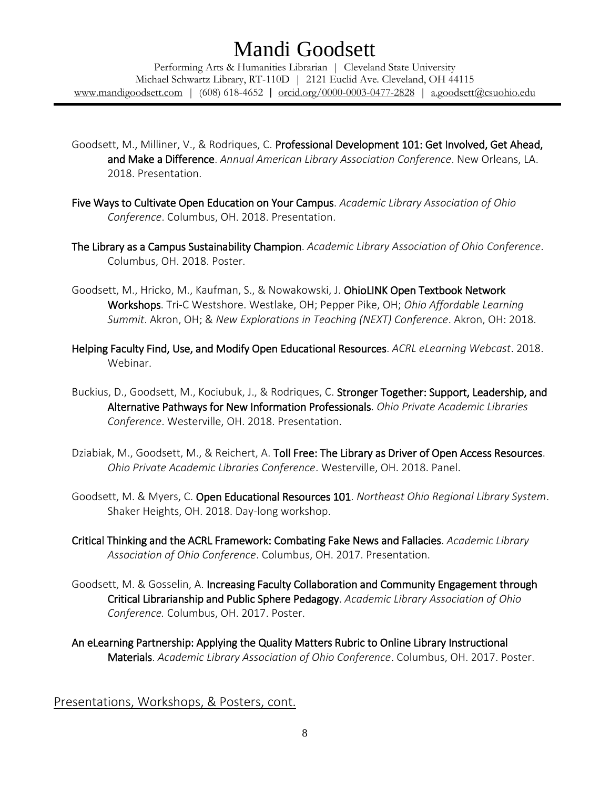Performing Arts & Humanities Librarian | Cleveland State University Michael Schwartz Library, RT-110D | 2121 Euclid Ave. Cleveland, OH 44115 [www.mandigoodsett.com](http://www.mandigoodsett.com/) | (608) 618-4652 | [orcid.org/0000-0003-0477-2828](https://orcid.org/0000-0003-0477-2828) | [a.goodsett@csuohio.edu](mailto:a.goodsett@csuohio.edu)

- Goodsett, M., Milliner, V., & Rodriques, C. Professional Development 101: Get Involved, Get Ahead, and Make a Difference. *Annual American Library Association Conference*. New Orleans, LA. 2018. Presentation.
- Five Ways to Cultivate Open Education on Your Campus. *Academic Library Association of Ohio Conference*. Columbus, OH. 2018. Presentation.
- The Library as a Campus Sustainability Champion. *Academic Library Association of Ohio Conference*. Columbus, OH. 2018. Poster.
- Goodsett, M., Hricko, M., Kaufman, S., & Nowakowski, J. OhioLINK Open Textbook Network Workshops. Tri-C Westshore. Westlake, OH; Pepper Pike, OH; *Ohio Affordable Learning Summit*. Akron, OH; & *New Explorations in Teaching (NEXT) Conference*. Akron, OH: 2018.
- Helping Faculty Find, Use, and Modify Open Educational Resources. *ACRL eLearning Webcast*. 2018. Webinar.
- Buckius, D., Goodsett, M., Kociubuk, J., & Rodriques, C. Stronger Together: Support, Leadership, and Alternative Pathways for New Information Professionals. *Ohio Private Academic Libraries Conference*. Westerville, OH. 2018. Presentation.
- Dziabiak, M., Goodsett, M., & Reichert, A. Toll Free: The Library as Driver of Open Access Resources. *Ohio Private Academic Libraries Conference*. Westerville, OH. 2018. Panel.
- Goodsett, M. & Myers, C. Open Educational Resources 101. *Northeast Ohio Regional Library System*. Shaker Heights, OH. 2018. Day-long workshop.
- Critical Thinking and the ACRL Framework: Combating Fake News and Fallacies. *Academic Library Association of Ohio Conference*. Columbus, OH. 2017. Presentation.
- Goodsett, M. & Gosselin, A. Increasing Faculty Collaboration and Community Engagement through Critical Librarianship and Public Sphere Pedagogy. *Academic Library Association of Ohio Conference.* Columbus, OH. 2017. Poster.
- An eLearning Partnership: Applying the Quality Matters Rubric to Online Library Instructional Materials. *Academic Library Association of Ohio Conference*. Columbus, OH. 2017. Poster.

Presentations, Workshops, & Posters, cont.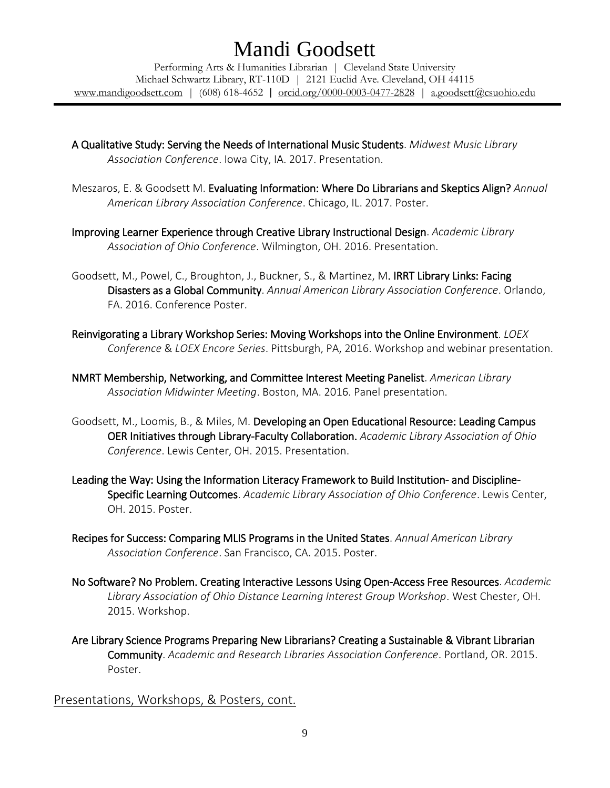Performing Arts & Humanities Librarian | Cleveland State University Michael Schwartz Library, RT-110D | 2121 Euclid Ave. Cleveland, OH 44115 [www.mandigoodsett.com](http://www.mandigoodsett.com/) | (608) 618-4652 | [orcid.org/0000-0003-0477-2828](https://orcid.org/0000-0003-0477-2828) | [a.goodsett@csuohio.edu](mailto:a.goodsett@csuohio.edu)

- A Qualitative Study: Serving the Needs of International Music Students. *Midwest Music Library Association Conference*. Iowa City, IA. 2017. Presentation.
- Meszaros, E. & Goodsett M. Evaluating Information: Where Do Librarians and Skeptics Align? *Annual American Library Association Conference*. Chicago, IL. 2017. Poster.
- Improving Learner Experience through Creative Library Instructional Design. *Academic Library Association of Ohio Conference*. Wilmington, OH. 2016. Presentation.
- Goodsett, M., Powel, C., Broughton, J., Buckner, S., & Martinez, M. IRRT Library Links: Facing Disasters as a Global Community. *Annual American Library Association Conference*. Orlando, FA. 2016. Conference Poster.
- Reinvigorating a Library Workshop Series: Moving Workshops into the Online Environment. *LOEX Conference* & *LOEX Encore Series*. Pittsburgh, PA, 2016. Workshop and webinar presentation.
- NMRT Membership, Networking, and Committee Interest Meeting Panelist. *American Library Association Midwinter Meeting*. Boston, MA. 2016. Panel presentation.
- Goodsett, M., Loomis, B., & Miles, M. Developing an Open Educational Resource: Leading Campus OER Initiatives through Library-Faculty Collaboration. *Academic Library Association of Ohio Conference*. Lewis Center, OH. 2015. Presentation.
- Leading the Way: Using the Information Literacy Framework to Build Institution- and Discipline-Specific Learning Outcomes. *Academic Library Association of Ohio Conference*. Lewis Center, OH. 2015. Poster.
- Recipes for Success: Comparing MLIS Programs in the United States. *Annual American Library Association Conference*. San Francisco, CA. 2015. Poster.
- No Software? No Problem. Creating Interactive Lessons Using Open-Access Free Resources. *Academic Library Association of Ohio Distance Learning Interest Group Workshop*. West Chester, OH. 2015. Workshop.
- Are Library Science Programs Preparing New Librarians? Creating a Sustainable & Vibrant Librarian Community. *Academic and Research Libraries Association Conference*. Portland, OR. 2015. Poster.

Presentations, Workshops, & Posters, cont.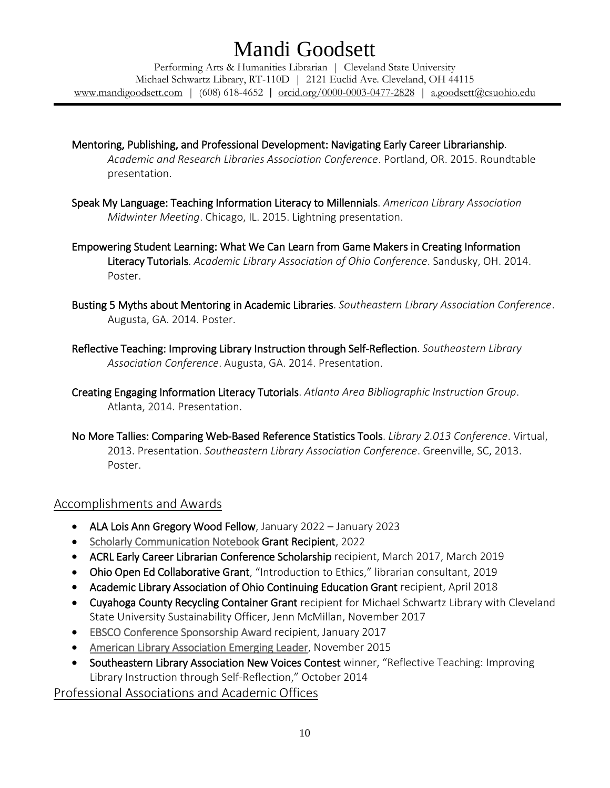Performing Arts & Humanities Librarian | Cleveland State University Michael Schwartz Library, RT-110D | 2121 Euclid Ave. Cleveland, OH 44115 [www.mandigoodsett.com](http://www.mandigoodsett.com/) | (608) 618-4652 | [orcid.org/0000-0003-0477-2828](https://orcid.org/0000-0003-0477-2828) | [a.goodsett@csuohio.edu](mailto:a.goodsett@csuohio.edu)

- Mentoring, Publishing, and Professional Development: Navigating Early Career Librarianship. *Academic and Research Libraries Association Conference*. Portland, OR. 2015. Roundtable presentation.
- Speak My Language: Teaching Information Literacy to Millennials. *American Library Association Midwinter Meeting*. Chicago, IL. 2015. Lightning presentation.
- Empowering Student Learning: What We Can Learn from Game Makers in Creating Information Literacy Tutorials. *Academic Library Association of Ohio Conference*. Sandusky, OH. 2014. Poster.
- Busting 5 Myths about Mentoring in Academic Libraries. *Southeastern Library Association Conference*. Augusta, GA. 2014. Poster.
- Reflective Teaching: Improving Library Instruction through Self-Reflection. *Southeastern Library Association Conference*. Augusta, GA. 2014. Presentation.
- Creating Engaging Information Literacy Tutorials. *Atlanta Area Bibliographic Instruction Group*. Atlanta, 2014. Presentation.
- No More Tallies: Comparing Web-Based Reference Statistics Tools. *Library 2.013 Conference*. Virtual, 2013. Presentation. *Southeastern Library Association Conference*. Greenville, SC, 2013. Poster.

## Accomplishments and Awards

- ALA Lois Ann Gregory Wood Fellow, January 2022 January 2023
- [Scholarly Communication Notebook](https://lisoer.wordpress.ncsu.edu/notebook/) Grant Recipient, 2022
- ACRL Early Career Librarian Conference Scholarship recipient, March 2017, March 2019
- Ohio Open Ed Collaborative Grant, "Introduction to Ethics," librarian consultant, 2019
- Academic Library Association of Ohio Continuing Education Grant recipient, April 2018
- Cuyahoga County Recycling Container Grant recipient for Michael Schwartz Library with Cleveland State University Sustainability Officer, Jenn McMillan, November 2017
- [EBSCO Conference Sponsorship Award](http://www.ala.org/news/press-releases/2017/01/ebsco-awards-five-scholarships-librarians-attend-2017-ala-midwinter-meeting-0) recipient, January 2017
- [American Library Association Emerging Leader,](http://www.ala.org/news/press-releases/2015/11/new-members-round-table-selects-mandi-goodsett-its-2016-emerging-leader) November 2015
- Southeastern Library Association New Voices Contest winner, "Reflective Teaching: Improving Library Instruction through Self-Reflection," October 2014

Professional Associations and Academic Offices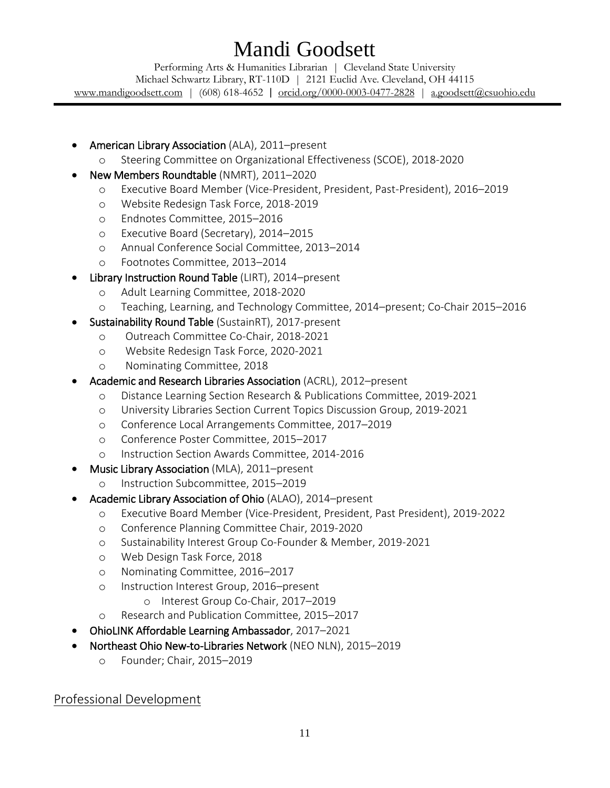Performing Arts & Humanities Librarian | Cleveland State University Michael Schwartz Library, RT-110D | 2121 Euclid Ave. Cleveland, OH 44115 [www.mandigoodsett.com](http://www.mandigoodsett.com/) | (608) 618-4652 | [orcid.org/0000-0003-0477-2828](https://orcid.org/0000-0003-0477-2828) | [a.goodsett@csuohio.edu](mailto:a.goodsett@csuohio.edu)

- American Library Association (ALA), 2011–present
	- o Steering Committee on Organizational Effectiveness (SCOE), 2018-2020
- New Members Roundtable (NMRT), 2011–2020
	- o Executive Board Member (Vice-President, President, Past-President), 2016–2019
	- o Website Redesign Task Force, 2018-2019
	- o Endnotes Committee, 2015–2016
	- o Executive Board (Secretary), 2014–2015
	- o Annual Conference Social Committee, 2013–2014
	- o Footnotes Committee, 2013–2014
- Library Instruction Round Table (LIRT), 2014–present
	- o Adult Learning Committee, 2018-2020
	- o Teaching, Learning, and Technology Committee, 2014–present; Co-Chair 2015–2016
- Sustainability Round Table (SustainRT), 2017-present
	- o Outreach Committee Co-Chair, 2018-2021
	- o Website Redesign Task Force, 2020-2021
	- o Nominating Committee, 2018
- Academic and Research Libraries Association (ACRL), 2012–present
	- o Distance Learning Section Research & Publications Committee, 2019-2021
	- o University Libraries Section Current Topics Discussion Group, 2019-2021
	- o Conference Local Arrangements Committee, 2017–2019
	- o Conference Poster Committee, 2015–2017
	- o Instruction Section Awards Committee, 2014-2016
- Music Library Association (MLA), 2011–present
	- o Instruction Subcommittee, 2015–2019
- Academic Library Association of Ohio (ALAO), 2014–present
	- o Executive Board Member (Vice-President, President, Past President), 2019-2022
	- o Conference Planning Committee Chair, 2019-2020
	- o Sustainability Interest Group Co-Founder & Member, 2019-2021
	- o Web Design Task Force, 2018
	- o Nominating Committee, 2016–2017
	- o Instruction Interest Group, 2016–present
		- o Interest Group Co-Chair, 2017–2019
	- o Research and Publication Committee, 2015–2017
- OhioLINK Affordable Learning Ambassador, 2017–2021
- Northeast Ohio New-to-Libraries Network (NEO NLN), 2015–2019
	- o Founder; Chair, 2015–2019

Professional Development